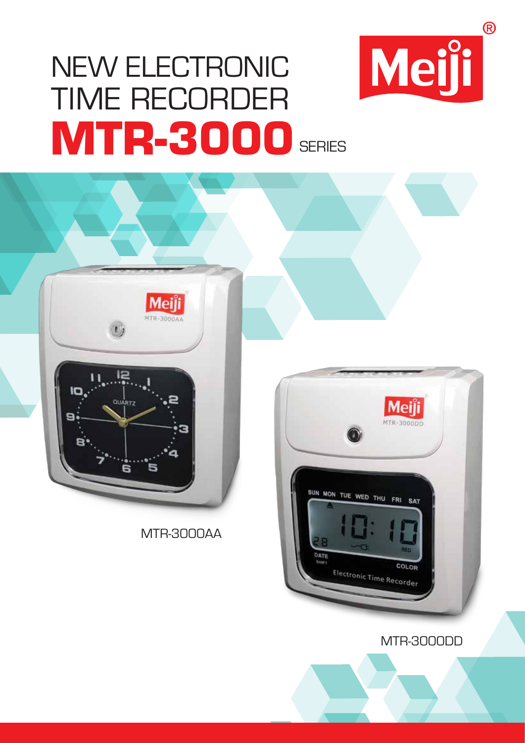# NEW ELECTRONIC TIME RECORDER **MTR-3000** SERIES



MTR-3000AA



MTR-3000DD

 $\circledR$ 

Meiji